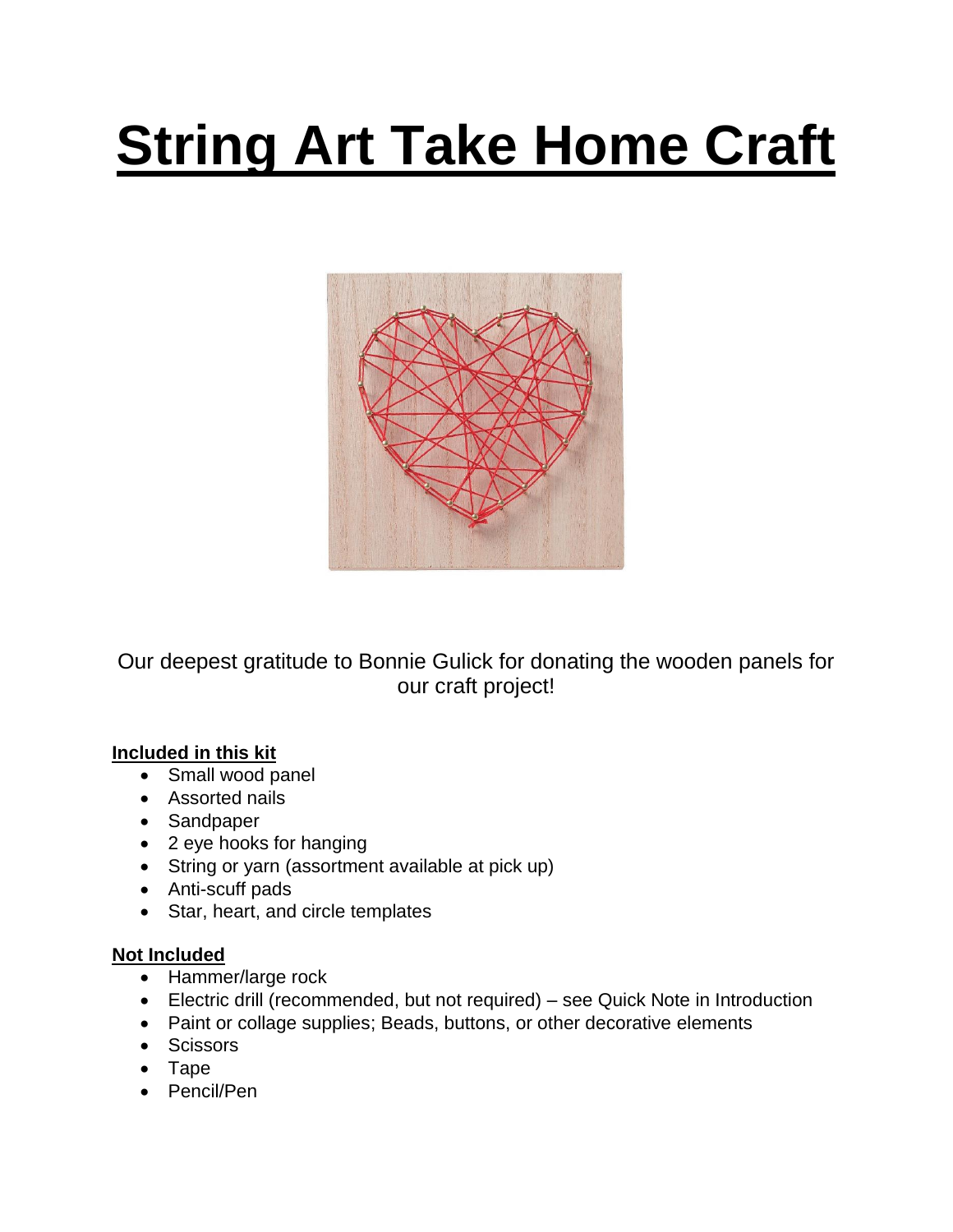# **String Art Take Home Craft**



Our deepest gratitude to Bonnie Gulick for donating the wooden panels for our craft project!

#### **Included in this kit**

- Small wood panel
- Assorted nails
- Sandpaper
- 2 eye hooks for hanging
- String or yarn (assortment available at pick up)
- Anti-scuff pads
- Star, heart, and circle templates

#### **Not Included**

- Hammer/large rock
- Electric drill (recommended, but not required) see Quick Note in Introduction
- Paint or collage supplies; Beads, buttons, or other decorative elements
- Scissors
- Tape
- Pencil/Pen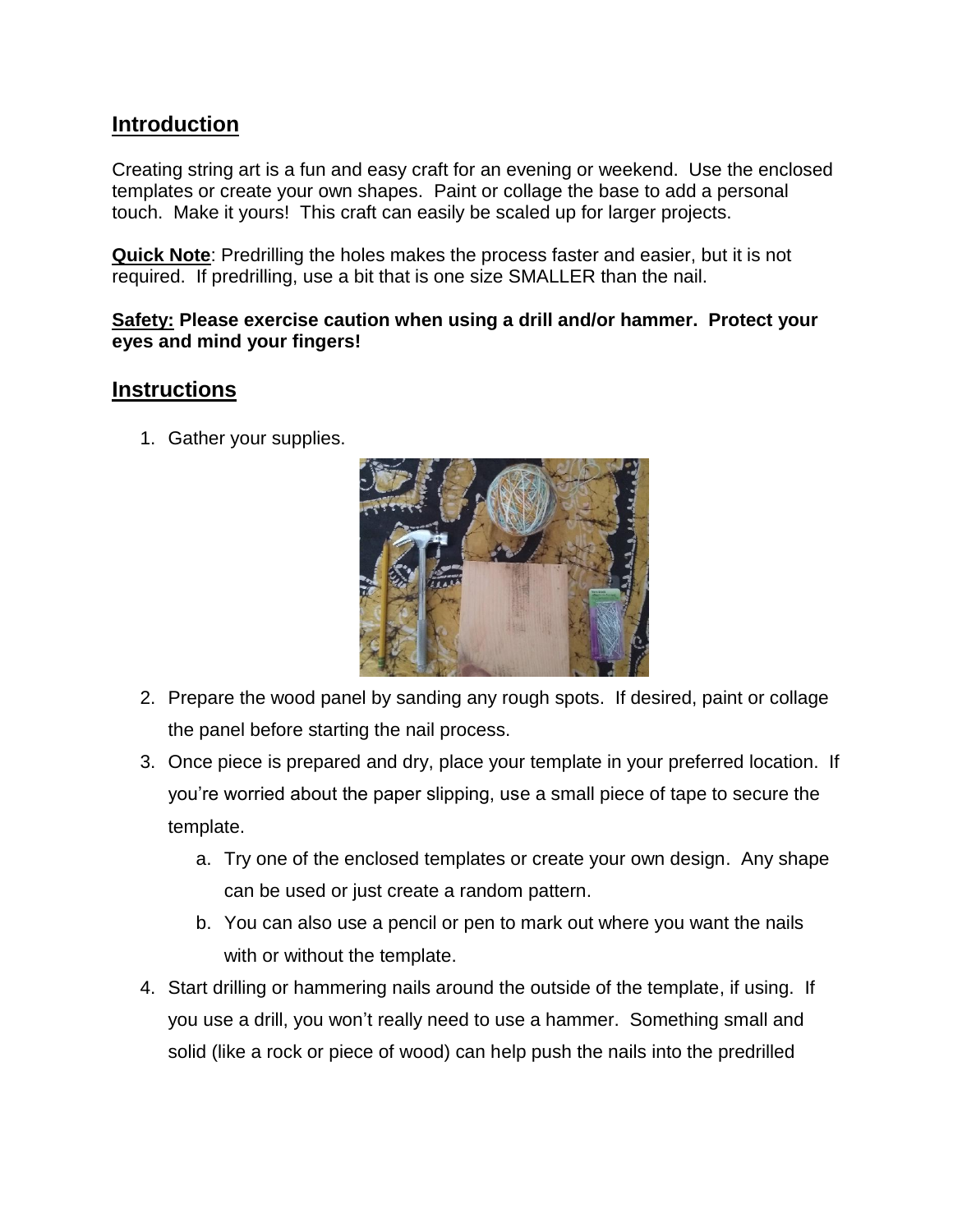## **Introduction**

Creating string art is a fun and easy craft for an evening or weekend. Use the enclosed templates or create your own shapes. Paint or collage the base to add a personal touch. Make it yours! This craft can easily be scaled up for larger projects.

**Quick Note**: Predrilling the holes makes the process faster and easier, but it is not required. If predrilling, use a bit that is one size SMALLER than the nail.

#### **Safety: Please exercise caution when using a drill and/or hammer. Protect your eyes and mind your fingers!**

### **Instructions**

1. Gather your supplies.



- 2. Prepare the wood panel by sanding any rough spots. If desired, paint or collage the panel before starting the nail process.
- 3. Once piece is prepared and dry, place your template in your preferred location. If you're worried about the paper slipping, use a small piece of tape to secure the template.
	- a. Try one of the enclosed templates or create your own design. Any shape can be used or just create a random pattern.
	- b. You can also use a pencil or pen to mark out where you want the nails with or without the template.
- 4. Start drilling or hammering nails around the outside of the template, if using. If you use a drill, you won't really need to use a hammer. Something small and solid (like a rock or piece of wood) can help push the nails into the predrilled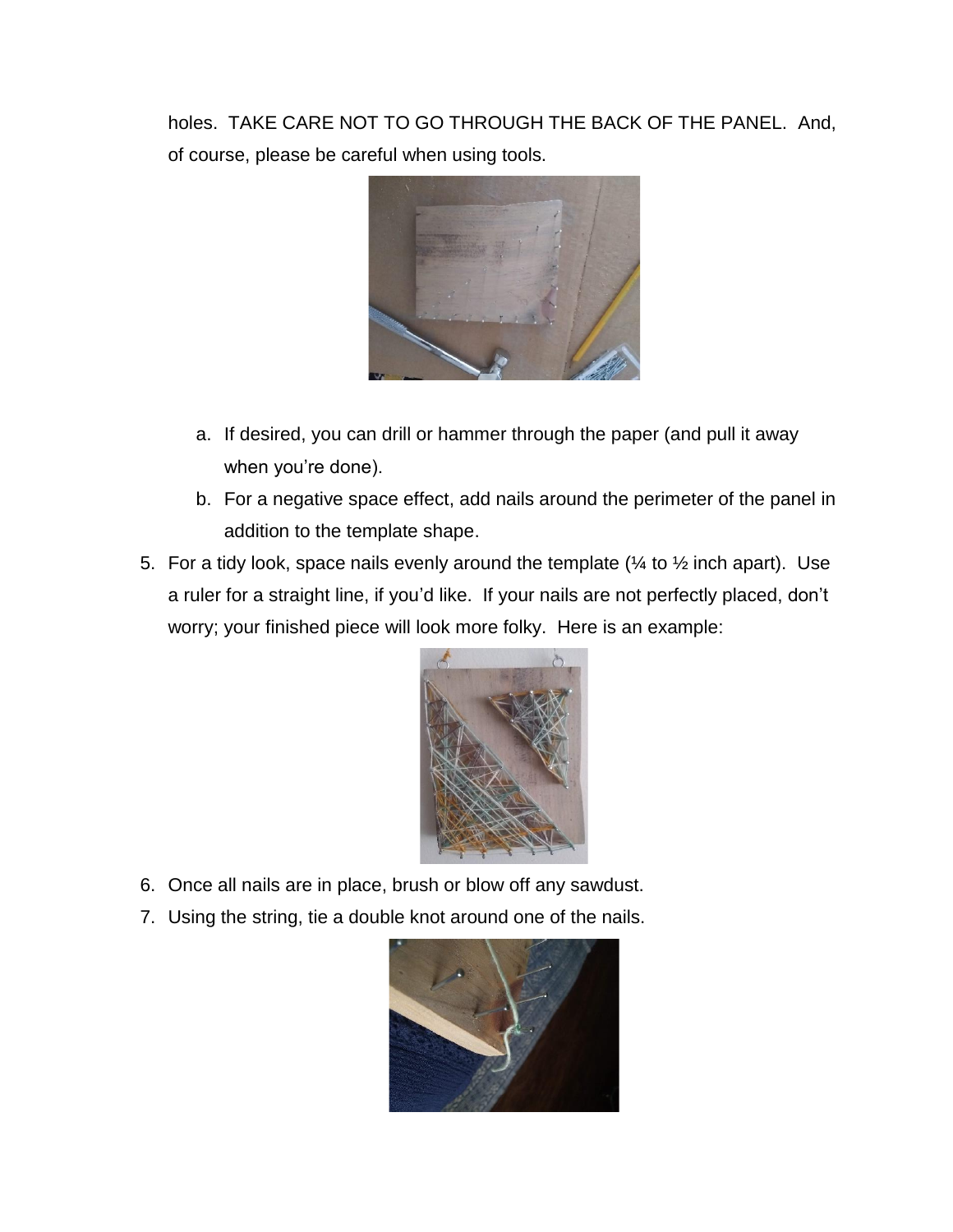holes. TAKE CARE NOT TO GO THROUGH THE BACK OF THE PANEL. And, of course, please be careful when using tools.



- a. If desired, you can drill or hammer through the paper (and pull it away when you're done).
- b. For a negative space effect, add nails around the perimeter of the panel in addition to the template shape.
- 5. For a tidy look, space nails evenly around the template ( $\frac{1}{4}$  to  $\frac{1}{2}$  inch apart). Use a ruler for a straight line, if you'd like. If your nails are not perfectly placed, don't worry; your finished piece will look more folky. Here is an example:



- 6. Once all nails are in place, brush or blow off any sawdust.
- 7. Using the string, tie a double knot around one of the nails.

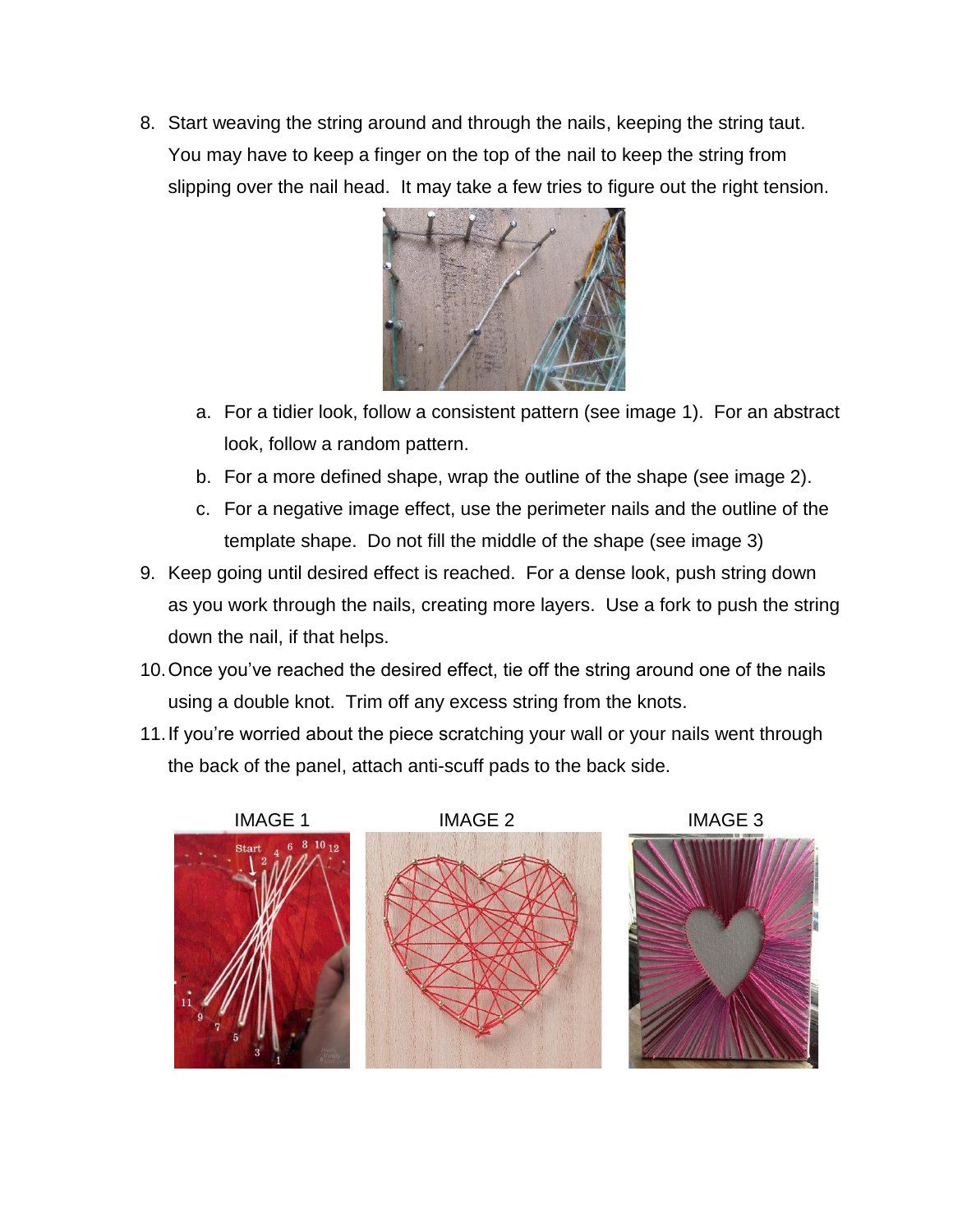8. Start weaving the string around and through the nails, keeping the string taut. You may have to keep a finger on the top of the nail to keep the string from slipping over the nail head. It may take a few tries to figure out the right tension.



- a. For a tidier look, follow a consistent pattern (see image 1). For an abstract look, follow a random pattern.
- b. For a more defined shape, wrap the outline of the shape (see image 2).
- c. For a negative image effect, use the perimeter nails and the outline of the template shape. Do not fill the middle of the shape (see image 3)
- 9. Keep going until desired effect is reached. For a dense look, push string down as you work through the nails, creating more layers. Use a fork to push the string down the nail, if that helps.
- 10.Once you've reached the desired effect, tie off the string around one of the nails using a double knot. Trim off any excess string from the knots.
- 11.If you're worried about the piece scratching your wall or your nails went through the back of the panel, attach anti-scuff pads to the back side.